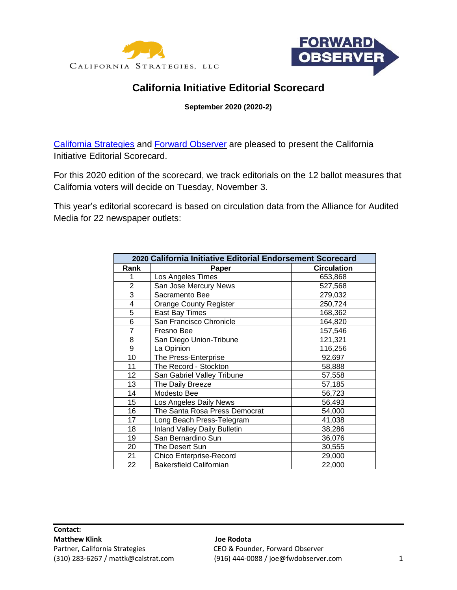



# **California Initiative Editorial Scorecard**

**September 2020 (2020-2)**

[California Strategies](http://www.calstrat.com/) and [Forward Observer](http://www.fwdobserver.com/) are pleased to present the California Initiative Editorial Scorecard.

For this 2020 edition of the scorecard, we track editorials on the 12 ballot measures that California voters will decide on Tuesday, November 3.

This year's editorial scorecard is based on circulation data from the Alliance for Audited Media for 22 newspaper outlets:

| 2020 California Initiative Editorial Endorsement Scorecard |                                     |                    |  |  |  |  |  |  |
|------------------------------------------------------------|-------------------------------------|--------------------|--|--|--|--|--|--|
| Rank                                                       | Paper                               | <b>Circulation</b> |  |  |  |  |  |  |
| 1                                                          | Los Angeles Times                   | 653,868            |  |  |  |  |  |  |
| $\overline{2}$                                             | San Jose Mercury News               | 527,568            |  |  |  |  |  |  |
| 3                                                          | Sacramento Bee                      | 279,032            |  |  |  |  |  |  |
| 4                                                          | <b>Orange County Register</b>       | 250,724            |  |  |  |  |  |  |
| 5                                                          | East Bay Times                      | 168,362            |  |  |  |  |  |  |
| 6                                                          | San Francisco Chronicle             | 164,820            |  |  |  |  |  |  |
| $\overline{7}$                                             | Fresno Bee                          | 157,546            |  |  |  |  |  |  |
| 8                                                          | San Diego Union-Tribune             | 121,321            |  |  |  |  |  |  |
| 9                                                          | La Opinion                          | 116,256            |  |  |  |  |  |  |
| 10                                                         | The Press-Enterprise                | 92,697             |  |  |  |  |  |  |
| 11                                                         | The Record - Stockton               | 58,888             |  |  |  |  |  |  |
| 12                                                         | San Gabriel Valley Tribune          | 57,558             |  |  |  |  |  |  |
| 13                                                         | The Daily Breeze                    | 57,185             |  |  |  |  |  |  |
| 14                                                         | Modesto Bee                         | 56,723             |  |  |  |  |  |  |
| 15                                                         | Los Angeles Daily News              | 56,493             |  |  |  |  |  |  |
| 16                                                         | The Santa Rosa Press Democrat       | 54,000             |  |  |  |  |  |  |
| 17                                                         | Long Beach Press-Telegram           | 41,038             |  |  |  |  |  |  |
| 18                                                         | <b>Inland Valley Daily Bulletin</b> | 38,286             |  |  |  |  |  |  |
| 19                                                         | San Bernardino Sun                  | 36,076             |  |  |  |  |  |  |
| 20                                                         | The Desert Sun                      | 30,555             |  |  |  |  |  |  |
| 21                                                         | Chico Enterprise-Record             | 29,000             |  |  |  |  |  |  |
| 22                                                         | <b>Bakersfield Californian</b>      | 22,000             |  |  |  |  |  |  |

(310) 283-6267 / mattk@calstrat.com (916) 444-0088 / joe@fwdobserver.com 1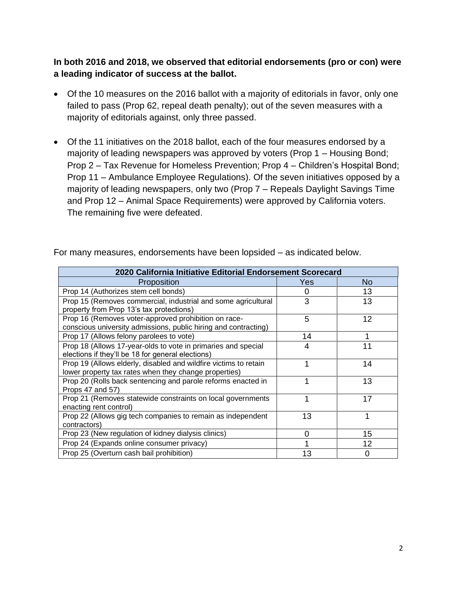**In both 2016 and 2018, we observed that editorial endorsements (pro or con) were a leading indicator of success at the ballot.**

- Of the 10 measures on the 2016 ballot with a majority of editorials in favor, only one failed to pass (Prop 62, repeal death penalty); out of the seven measures with a majority of editorials against, only three passed.
- Of the 11 initiatives on the 2018 ballot, each of the four measures endorsed by a majority of leading newspapers was approved by voters (Prop 1 – Housing Bond; Prop 2 – Tax Revenue for Homeless Prevention; Prop 4 – Children's Hospital Bond; Prop 11 – Ambulance Employee Regulations). Of the seven initiatives opposed by a majority of leading newspapers, only two (Prop 7 – Repeals Daylight Savings Time and Prop 12 – Animal Space Requirements) were approved by California voters. The remaining five were defeated.

| 2020 California Initiative Editorial Endorsement Scorecard                                                                |          |    |  |  |  |  |  |  |
|---------------------------------------------------------------------------------------------------------------------------|----------|----|--|--|--|--|--|--|
| Proposition                                                                                                               | Yes      | No |  |  |  |  |  |  |
| Prop 14 (Authorizes stem cell bonds)                                                                                      | 0        | 13 |  |  |  |  |  |  |
| Prop 15 (Removes commercial, industrial and some agricultural<br>property from Prop 13's tax protections)                 | 3        | 13 |  |  |  |  |  |  |
| Prop 16 (Removes voter-approved prohibition on race-<br>conscious university admissions, public hiring and contracting)   | 5        | 12 |  |  |  |  |  |  |
| Prop 17 (Allows felony parolees to vote)                                                                                  | 14       |    |  |  |  |  |  |  |
| Prop 18 (Allows 17-year-olds to vote in primaries and special<br>elections if they'll be 18 for general elections)        | 4        | 11 |  |  |  |  |  |  |
| Prop 19 (Allows elderly, disabled and wildfire victims to retain<br>lower property tax rates when they change properties) | 1        | 14 |  |  |  |  |  |  |
| Prop 20 (Rolls back sentencing and parole reforms enacted in<br>Props 47 and 57)                                          | 1        | 13 |  |  |  |  |  |  |
| Prop 21 (Removes statewide constraints on local governments<br>enacting rent control)                                     |          | 17 |  |  |  |  |  |  |
| Prop 22 (Allows gig tech companies to remain as independent<br>contractors)                                               | 13       | 1  |  |  |  |  |  |  |
| Prop 23 (New regulation of kidney dialysis clinics)                                                                       | $\Omega$ | 15 |  |  |  |  |  |  |
| Prop 24 (Expands online consumer privacy)                                                                                 |          | 12 |  |  |  |  |  |  |
| Prop 25 (Overturn cash bail prohibition)                                                                                  | 13       | O  |  |  |  |  |  |  |

For many measures, endorsements have been lopsided – as indicated below.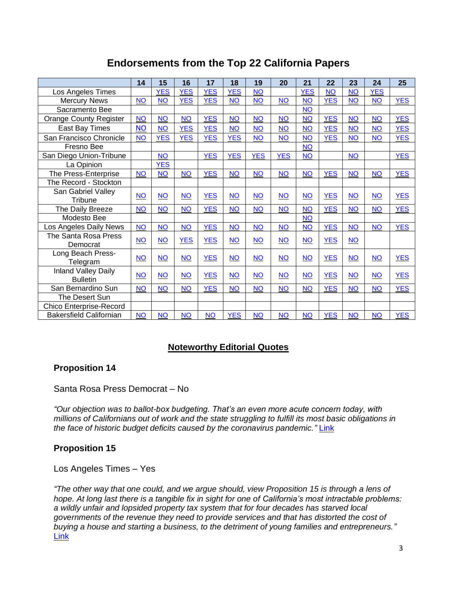## **Endorsements from the Top 22 California Papers**

|                                               | 14        | 15         | 16         | 17         | 18         | 19              | 20         | 21         | 22         | 23        | 24         | 25         |
|-----------------------------------------------|-----------|------------|------------|------------|------------|-----------------|------------|------------|------------|-----------|------------|------------|
| Los Angeles Times                             |           | <b>YES</b> | <b>YES</b> | <b>YES</b> | <b>YES</b> | <b>NO</b>       |            | <b>YES</b> | <b>NO</b>  | <b>NO</b> | <b>YES</b> |            |
| <b>Mercury News</b>                           | $NO$      | <b>NO</b>  | <b>YES</b> | <b>YES</b> | <b>NO</b>  | $NO$            | <b>NO</b>  | <b>NO</b>  | <b>YES</b> | <b>NO</b> | NO         | <b>YES</b> |
| Sacramento Bee                                |           |            |            |            |            |                 |            | <b>NO</b>  |            |           |            |            |
| <b>Orange County Register</b>                 | <b>NO</b> | <b>NO</b>  | $NO$       | <b>YES</b> | <b>NO</b>  | <b>NO</b>       | <b>NO</b>  | NQ         | <b>YES</b> | <b>NO</b> | <b>NO</b>  | <b>YES</b> |
| East Bay Times                                | <b>NO</b> | <b>NO</b>  | <b>YES</b> | <b>YES</b> | <b>NO</b>  | $NO$            | <b>NO</b>  | <b>NO</b>  | <b>YES</b> | <b>NO</b> | <b>NO</b>  | <b>YES</b> |
| San Francisco Chronicle                       | <b>NO</b> | <b>YES</b> | <b>YES</b> | <b>YES</b> | <b>YES</b> | NO <sub>1</sub> | <b>NO</b>  | <b>NO</b>  | <b>YES</b> | <b>NO</b> | <b>NO</b>  | <b>YES</b> |
| Fresno Bee                                    |           |            |            |            |            |                 |            | <b>NO</b>  |            |           |            |            |
| San Diego Union-Tribune                       |           | <b>NO</b>  |            | <b>YES</b> | <b>YES</b> | <b>YES</b>      | <b>YES</b> | <b>NO</b>  |            | <b>NO</b> |            | <b>YES</b> |
| La Opinion                                    |           | <b>YES</b> |            |            |            |                 |            |            |            |           |            |            |
| The Press-Enterprise                          | <b>NO</b> | <b>NO</b>  | <b>NO</b>  | <b>YES</b> | <b>NO</b>  | <b>NO</b>       | <b>NO</b>  | <b>NO</b>  | <b>YES</b> | <b>NO</b> | <b>NO</b>  | <b>YES</b> |
| The Record - Stockton                         |           |            |            |            |            |                 |            |            |            |           |            |            |
| San Gabriel Valley<br>Tribune                 | <b>NO</b> | <b>NO</b>  | <b>NO</b>  | <b>YES</b> | <b>NO</b>  | <b>NO</b>       | <b>NO</b>  | <b>NO</b>  | <b>YES</b> | <b>NO</b> | <b>NO</b>  | <b>YES</b> |
| The Daily Breeze                              | <b>NO</b> | <b>NO</b>  | <b>NO</b>  | <b>YES</b> | <b>NO</b>  | <b>NO</b>       | <b>NO</b>  | <b>NO</b>  | <b>YES</b> | <b>NO</b> | <b>NO</b>  | <b>YES</b> |
| Modesto Bee                                   |           |            |            |            |            |                 |            | <b>NO</b>  |            |           |            |            |
| Los Angeles Daily News                        | <b>NO</b> | <b>NO</b>  | <b>NO</b>  | <b>YES</b> | <b>NO</b>  | <b>NO</b>       | <b>NO</b>  | <b>NO</b>  | <b>YES</b> | <b>NO</b> | <b>NO</b>  | <b>YES</b> |
| The Santa Rosa Press<br>Democrat              | <b>NO</b> | <b>NO</b>  | <b>YES</b> | <b>YES</b> | <b>NO</b>  | NO <sub>1</sub> | $NO$       | <b>NO</b>  | <b>YES</b> | <b>NO</b> |            |            |
| Long Beach Press-<br>Telegram                 | <b>NO</b> | NO         | <b>NO</b>  | <b>YES</b> | $NO$       | $NO$            | NO         | $NO$       | <b>YES</b> | $NO$      | NO         | <b>YES</b> |
| <b>Inland Valley Daily</b><br><b>Bulletin</b> | <b>NO</b> | <b>NO</b>  | <b>NO</b>  | <b>YES</b> | <b>NO</b>  | $NO$            | $NO$       | $NO$       | <b>YES</b> | $NO$      | NO         | <b>YES</b> |
| San Bernardino Sun                            | <b>NO</b> | <b>NO</b>  | <b>NO</b>  | <b>YES</b> | <b>NO</b>  | <b>NO</b>       | <b>NO</b>  | <b>NO</b>  | <b>YES</b> | <b>NO</b> | <b>NO</b>  | <b>YES</b> |
| The Desert Sun                                |           |            |            |            |            |                 |            |            |            |           |            |            |
| <b>Chico Enterprise-Record</b>                |           |            |            |            |            |                 |            |            |            |           |            |            |
| <b>Bakersfield Californian</b>                | <b>NO</b> | <b>NO</b>  | <b>NO</b>  | <b>NO</b>  | <b>YES</b> | <b>NO</b>       | <b>NO</b>  | <b>NO</b>  | <b>YES</b> | <b>NO</b> | <b>NO</b>  | <b>YES</b> |

### **Noteworthy Editorial Quotes**

#### **Proposition 14**

#### Santa Rosa Press Democrat – No

*"Our objection was to ballot-box budgeting. That's an even more acute concern today, with millions of Californians out of work and the state struggling to fulfill its most basic obligations in the face of historic budget deficits caused by the coronavirus pandemic."* [Link](https://www.pressdemocrat.com/article/opinion/pd-editorial-no-on-14-its-time-for-stem-cell-agency-to-stand-on-its-own/)

#### **Proposition 15**

Los Angeles Times – Yes

*"The other way that one could, and we argue should, view Proposition 15 is through a lens of hope. At long last there is a tangible fix in sight for one of California's most intractable problems: a wildly unfair and lopsided property tax system that for four decades has starved local governments of the revenue they need to provide services and that has distorted the cost of buying a house and starting a business, to the detriment of young families and entrepreneurs."*  [Link](https://www.latimes.com/opinion/story/2020-09-20/endorsement-yes-on-proposition-15-its-a-step-make-california-financially-healthy-again)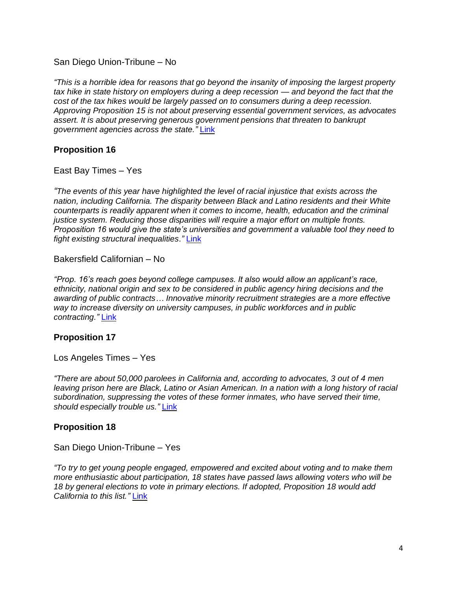#### San Diego Union-Tribune – No

*"This is a horrible idea for reasons that go beyond the insanity of imposing the largest property tax hike in state history on employers during a deep recession — and beyond the fact that the cost of the tax hikes would be largely passed on to consumers during a deep recession. Approving Proposition 15 is not about preserving essential government services, as advocates assert. It is about preserving generous government pensions that threaten to bankrupt government agencies across the state."* [Link](https://www.sandiegouniontribune.com/opinion/editorials/story/2020-09-17/no-on-california-proposition-15-split-roll-property-tax-hike)

#### **Proposition 16**

East Bay Times – Yes

*"The events of this year have highlighted the level of racial injustice that exists across the nation, including California. The disparity between Black and Latino residents and their White counterparts is readily apparent when it comes to income, health, education and the criminal justice system. Reducing those disparities will require a major effort on multiple fronts. Proposition 16 would give the state's universities and government a valuable tool they need to fight existing structural inequalities."* [Link](https://www.mercurynews.com/2020/09/01/editorial-prop-16-will-create-level-playing-field-in-california/)

Bakersfield Californian – No

*"Prop. 16's reach goes beyond college campuses. It also would allow an applicant's race, ethnicity, national origin and sex to be considered in public agency hiring decisions and the awarding of public contracts… Innovative minority recruitment strategies are a more effective way to increase diversity on university campuses, in public workforces and in public contracting."* [Link](https://www.bakersfield.com/opinion/our-view-endorsement-prop-16-vote-no-on-restoring-affirmative-action/article_781b4554-f221-11ea-8982-731f84bbd892.html)

#### **Proposition 17**

Los Angeles Times – Yes

*"There are about 50,000 parolees in California and, according to advocates, 3 out of 4 men leaving prison here are Black, Latino or Asian American. In a nation with a long history of racial subordination, suppressing the votes of these former inmates, who have served their time, should especially trouble us."* [Link](https://www.latimes.com/opinion/story/2020-09-18/endorsement-yes-on-proposition-17-parolees-deserve-the-right-to-vote)

#### **Proposition 18**

San Diego Union-Tribune – Yes

*"To try to get young people engaged, empowered and excited about voting and to make them more enthusiastic about participation, 18 states have passed laws allowing voters who will be 18 by general elections to vote in primary elections. If adopted, Proposition 18 would add California to this list."* [Link](https://www.sandiegouniontribune.com/opinion/editorials/story/2020-09-18/yes-prop-18-let-teens-vote-in-primary-before-they-are-18)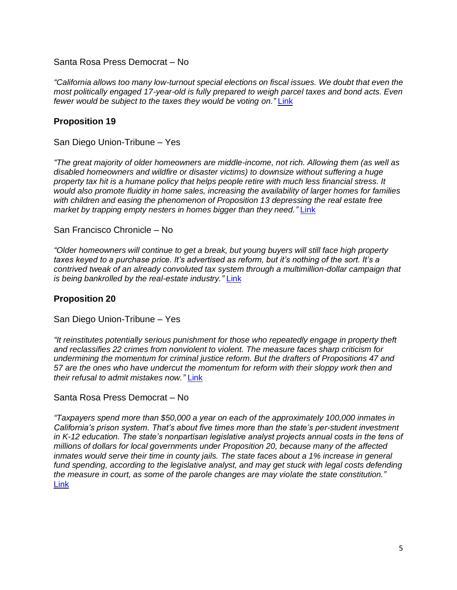Santa Rosa Press Democrat – No

*"California allows too many low-turnout special elections on fiscal issues. We doubt that even the most politically engaged 17-year-old is fully prepared to weigh parcel taxes and bond acts. Even fewer would be subject to the taxes they would be voting on."* [Link](https://www.pressdemocrat.com/article/opinion/pd-editorial-one-yes-one-on-voting-measures/?sba=AAS)

#### **Proposition 19**

San Diego Union-Tribune – Yes

*"The great majority of older homeowners are middle-income, not rich. Allowing them (as well as disabled homeowners and wildfire or disaster victims) to downsize without suffering a huge property tax hit is a humane policy that helps people retire with much less financial stress. It would also promote fluidity in home sales, increasing the availability of larger homes for families with children and easing the phenomenon of Proposition 13 depressing the real estate free market by trapping empty nesters in homes bigger than they need.* "[Link](https://www.sandiegouniontribune.com/opinion/editorials/story/2020-09-24/yes-on-prop-19-property-tax-portability)"

San Francisco Chronicle – No

*"Older homeowners will continue to get a break, but young buyers will still face high property taxes keyed to a purchase price. It's advertised as reform, but it's nothing of the sort. It's a contrived tweak of an already convoluted tax system through a multimillion-dollar campaign that is being bankrolled by the real-estate industry."* [Link](https://www.sfchronicle.com/opinion/editorials/article/Editorial-Prop-19-poses-as-tax-fairness-But-it-15576355.php)

#### **Proposition 20**

San Diego Union-Tribune – Yes

*"It reinstitutes potentially serious punishment for those who repeatedly engage in property theft and reclassifies 22 crimes from nonviolent to violent. The measure faces sharp criticism for undermining the momentum for criminal justice reform. But the drafters of Propositions 47 and 57 are the ones who have undercut the momentum for reform with their sloppy work then and their refusal to admit mistakes now."* [Link](https://www.sandiegouniontribune.com/opinion/editorials/story/2020-09-25/yes-on-prop-20-to-fix-prop-47-57)

Santa Rosa Press Democrat – No

*"Taxpayers spend more than \$50,000 a year on each of the approximately 100,000 inmates in California's prison system. That's about five times more than the state's per-student investment in K-12 education. The state's nonpartisan legislative analyst projects annual costs in the tens of millions of dollars for local governments under Proposition 20, because many of the affected inmates would serve their time in county jails. The state faces about a 1% increase in general fund spending, according to the legislative analyst, and may get stuck with legal costs defending the measure in court, as some of the parole changes are may violate the state constitution."* [Link](https://www.pressdemocrat.com/article/opinion/pd-editorial-no-on-prop-20-dont-bring-back-harsh-sentences/)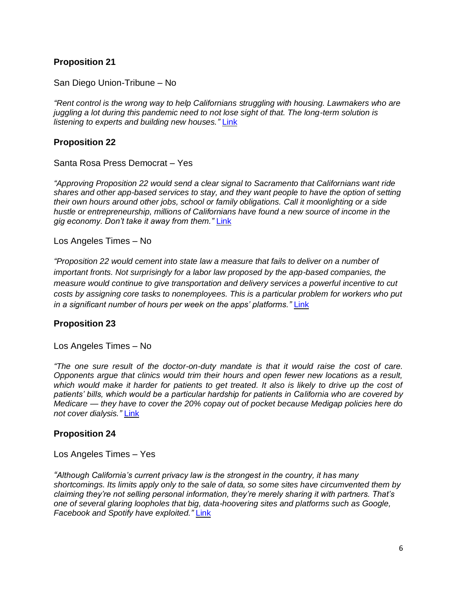#### **Proposition 21**

San Diego Union-Tribune – No

*"Rent control is the wrong way to help Californians struggling with housing. Lawmakers who are juggling a lot during this pandemic need to not lose sight of that. The long-term solution is listening to experts and building new houses."* [Link](https://www.sandiegouniontribune.com/opinion/editorials/story/2020-09-23/no-on-prop-21-rent-control-will-make-california-housing-crisis-worse)

#### **Proposition 22**

Santa Rosa Press Democrat – Yes

*"Approving Proposition 22 would send a clear signal to Sacramento that Californians want ride shares and other app-based services to stay, and they want people to have the option of setting their own hours around other jobs, school or family obligations. Call it moonlighting or a side hustle or entrepreneurship, millions of Californians have found a new source of income in the gig economy. Don't take it away from them."* [Link](https://www.pressdemocrat.com/article/opinion/pd-editorial-yes-on-22-preserve-californias-gig-economy/)

Los Angeles Times – No

*"Proposition 22 would cement into state law a measure that fails to deliver on a number of important fronts. Not surprisingly for a labor law proposed by the app-based companies, the measure would continue to give transportation and delivery services a powerful incentive to cut costs by assigning core tasks to nonemployees. This is a particular problem for workers who put in a significant number of hours per week on the apps' platforms."* [Link](https://www.latimes.com/opinion/story/2020-09-23/proposition-22-uber-lyft-doordash-wrong-solution)

#### **Proposition 23**

Los Angeles Times – No

*"The one sure result of the doctor-on-duty mandate is that it would raise the cost of care. Opponents argue that clinics would trim their hours and open fewer new locations as a result,*  which would make it harder for patients to get treated. It also is likely to drive up the cost of *patients' bills, which would be a particular hardship for patients in California who are covered by Medicare — they have to cover the 20% copay out of pocket because Medigap policies here do not cover dialysis."* [Link](https://www.latimes.com/opinion/story/2020-09-09/proposition-23-dialysis-vote-no)

#### **Proposition 24**

Los Angeles Times – Yes

*"Although California's current privacy law is the strongest in the country, it has many shortcomings. Its limits apply only to the sale of data, so some sites have circumvented them by claiming they're not selling personal information, they're merely sharing it with partners. That's one of several glaring loopholes that big, data-hoovering sites and platforms such as Google, Facebook and Spotify have exploited."* [Link](https://www.latimes.com/opinion/story/2020-09-15/yes-on-proposition-24)